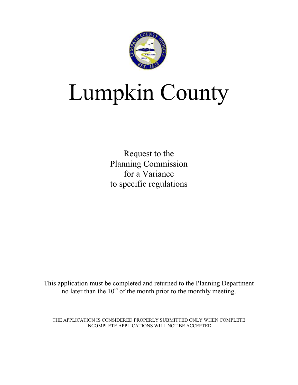

# Lumpkin County

Request to the Planning Commission for a Variance to specific regulations

This application must be completed and returned to the Planning Department no later than the  $10<sup>th</sup>$  of the month prior to the monthly meeting.

THE APPLICATION IS CONSIDERED PROPERLY SUBMITTED ONLY WHEN COMPLETE INCOMPLETE APPLICATIONS WILL NOT BE ACCEPTED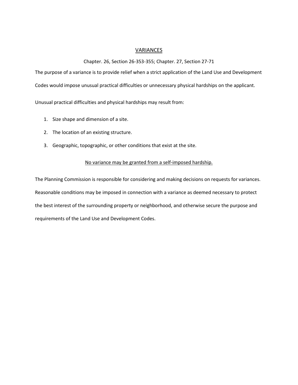#### **VARIANCES**

#### Chapter. 26, Section 26-353-355; Chapter. 27, Section 27-71

The purpose of a variance is to provide relief when a strict application of the Land Use and Development

Codes would impose unusual practical difficulties or unnecessary physical hardships on the applicant.

Unusual practical difficulties and physical hardships may result from:

- 1. Size shape and dimension of a site.
- 2. The location of an existing structure.
- 3. Geographic, topographic, or other conditions that exist at the site.

#### No variance may be granted from a self-imposed hardship.

The Planning Commission is responsible for considering and making decisions on requests for variances. Reasonable conditions may be imposed in connection with a variance as deemed necessary to protect the best interest of the surrounding property or neighborhood, and otherwise secure the purpose and requirements of the Land Use and Development Codes.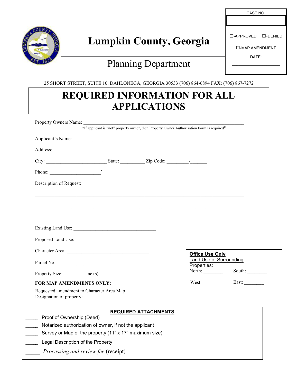

# **Lumpkin County, Georgia**

### Planning Department

| $\Box$ -APPROVED $\Box$ -DENIED |  |  |  |  |
|---------------------------------|--|--|--|--|
| $\Box$ -MAP AMENDMENT           |  |  |  |  |
| DATF <sup>.</sup>               |  |  |  |  |
|                                 |  |  |  |  |

CASE NO.

25 SHORT STREET, SUITE 10, DAHLONEGA, GEORGIA 30533 (706) 864-6894 FAX: (706) 867-7272

## **REQUIRED INFORMATION FOR ALL APPLICATIONS**

|                                                                                     |                             | *If applicant is "not" property owner, then Property Owner Authorization Form is required* |                        |
|-------------------------------------------------------------------------------------|-----------------------------|--------------------------------------------------------------------------------------------|------------------------|
| Applicant's Name:                                                                   |                             |                                                                                            |                        |
|                                                                                     |                             |                                                                                            |                        |
|                                                                                     |                             |                                                                                            |                        |
| Phone: $\qquad \qquad$                                                              |                             |                                                                                            |                        |
| Description of Request:                                                             |                             |                                                                                            |                        |
|                                                                                     |                             |                                                                                            |                        |
|                                                                                     |                             |                                                                                            |                        |
|                                                                                     |                             |                                                                                            |                        |
|                                                                                     |                             |                                                                                            |                        |
| Proposed Land Use:                                                                  |                             |                                                                                            |                        |
|                                                                                     |                             | <b>Office Use Only</b>                                                                     |                        |
| Parcel No.:                                                                         |                             | <b>Land Use of Surrounding</b><br>Properties:                                              |                        |
|                                                                                     |                             | $\frac{F10 \text{pc} \text{u}\text{c} \cdot \text{s}}{[North: ]}$                          | South: $\qquad \qquad$ |
| FOR MAP AMENDMENTS ONLY:                                                            |                             | West:                                                                                      | East: $\qquad \qquad$  |
| Requested amendment to Character Area Map<br>Designation of property:               |                             |                                                                                            |                        |
|                                                                                     | <b>REQUIRED ATTACHMENTS</b> |                                                                                            |                        |
| Proof of Ownership (Deed)<br>Notarized authorization of owner, if not the applicant |                             |                                                                                            |                        |
| Survey or Map of the property (11" x 17" maximum size)<br>$\sim$                    |                             |                                                                                            |                        |
| Legal Description of the Property                                                   |                             |                                                                                            |                        |
| Processing and review fee (receipt)                                                 |                             |                                                                                            |                        |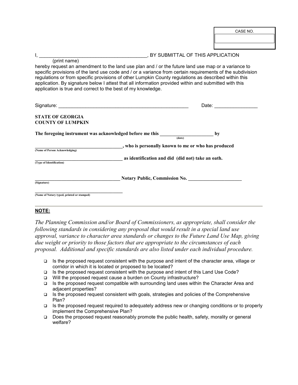#### I, \_\_\_\_\_\_\_\_\_\_\_\_\_\_\_\_\_\_\_\_\_\_\_\_\_\_\_\_\_\_\_\_\_\_\_, BY SUBMITTAL OF THIS APPLICATION

(print name) hereby request an amendment to the land use plan and / or the future land use map or a variance to specific provisions of the land use code and / or a variance from certain requirements of the subdivision regulations or from specific provisions of other Lumpkin County regulations as described within this application. By signature below I attest that all information provided within and submitted with this application is true and correct to the best of my knowledge.

|                                                          | Date:                                               |
|----------------------------------------------------------|-----------------------------------------------------|
| <b>STATE OF GEORGIA</b><br><b>COUNTY OF LUMPKIN</b>      |                                                     |
| The foregoing instrument was acknowledged before me this | by<br>(date)                                        |
| (Name of Person Acknowledging)                           | , who is personally known to me or who has produced |
| (Type of Identification)                                 | as identification and did (did not) take an oath.   |
| (Signature)                                              | <b>Notary Public, Commission No.</b>                |
| (Name of Notary typed, printed or stamped)               |                                                     |

#### **NOTE:**

*The Planning Commission and/or Board of Commissioners, as appropriate, shall consider the following standards in considering any proposal that would result in a special land use approval, variance to character area standards or changes to the Future Land Use Map, giving due weight or priority to those factors that are appropriate to the circumstances of each proposal. Additional and specific standards are also listed under each individual procedure.* 

- $\Box$  Is the proposed request consistent with the purpose and intent of the character area, village or corridor in which it is located or proposed to be located?
- Is the proposed request consistent with the purpose and intent of this Land Use Code?
- □ Will the proposed request cause a burden on County infrastructure?
- $\Box$  Is the proposed request compatible with surrounding land uses within the Character Area and adjacent properties?
- $\Box$  Is the proposed request consistent with goals, strategies and policies of the Comprehensive Plan?
- $\Box$  Is the proposed request required to adequately address new or changing conditions or to properly implement the Comprehensive Plan?
- Does the proposed request reasonably promote the public health, safety, morality or general welfare?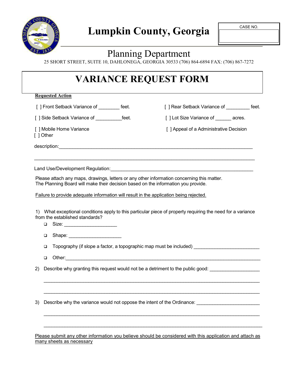

### Planning Department

25 SHORT STREET, SUITE 10, DAHLONEGA, GEORGIA 30533 (706) 864-6894 FAX: (706) 867-7272

### **VARIANCE REQUEST FORM**

**Requested Action**

[ ] Front Setback Variance of \_\_\_\_\_\_\_\_ feet. [ ] Rear Setback Variance of \_\_\_\_\_\_ feet.

[ ] Side Setback Variance of \_\_\_\_\_\_\_\_\_\_\_feet. [ ] Lot Size Variance of \_\_\_\_\_\_ acres.

[ ] Mobile Home Variance **[ ]** appeal of a Administrative Decision [ ] Other

description:\_\_\_\_\_\_\_\_\_\_\_\_\_\_\_\_\_\_\_\_\_\_\_\_\_\_\_\_\_\_\_\_\_\_\_\_\_\_\_\_\_\_\_\_\_\_\_\_\_\_\_\_\_\_\_\_\_\_\_\_\_\_\_\_\_\_\_\_\_\_\_\_

Land Use/Development Regulation:

Please attach any maps, drawings, letters or any other information concerning this matter. The Planning Board will make their decision based on the information you provide.

Failure to provide adequate information will result in the application being rejected.

1) What exceptional conditions apply to this particular piece of property requiring the need for a variance from the established standards?

\_\_\_\_\_\_\_\_\_\_\_\_\_\_\_\_\_\_\_\_\_\_\_\_\_\_\_\_\_\_\_\_\_\_\_\_\_\_\_\_\_\_\_\_\_\_\_\_\_\_\_\_\_\_\_\_\_\_\_\_\_\_\_\_\_\_\_\_\_\_\_\_\_\_\_\_\_\_\_\_\_\_

- $\Box$  Size:
- □ Shape: \_\_\_\_\_\_\_\_\_\_\_\_\_\_

 $\Box$  Topography (if slope a factor, a topographic map must be included)

 $\Box$  Other:  $\Box$ 

2) Describe why granting this request would not be a detriment to the public good:

3) Describe why the variance would not oppose the intent of the Ordinance:

Please submit any other information you believe should be considered with this application and attach as many sheets as necessary

\_\_\_\_\_\_\_\_\_\_\_\_\_\_\_\_\_\_\_\_\_\_\_\_\_\_\_\_\_\_\_\_\_\_\_\_\_\_\_\_\_\_\_\_\_\_\_\_\_\_\_\_\_\_\_\_\_\_\_\_\_\_\_\_\_\_\_\_\_\_\_\_\_\_\_\_\_\_\_\_\_\_

\_\_\_\_\_\_\_\_\_\_\_\_\_\_\_\_\_\_\_\_\_\_\_\_\_\_\_\_\_\_\_\_\_\_\_\_\_\_\_\_\_\_\_\_\_\_\_\_\_\_\_\_\_\_\_\_\_\_\_\_\_\_\_\_\_\_\_\_\_\_\_\_\_\_\_\_\_\_\_\_\_\_

\_\_\_\_\_\_\_\_\_\_\_\_\_\_\_\_\_\_\_\_\_\_\_\_\_\_\_\_\_\_\_\_\_\_\_\_\_\_\_\_\_\_\_\_\_\_\_\_\_\_\_\_\_\_\_\_\_\_\_\_\_\_\_\_\_\_\_\_\_\_\_\_\_\_\_\_\_\_\_\_\_\_

\_\_\_\_\_\_\_\_\_\_\_\_\_\_\_\_\_\_\_\_\_\_\_\_\_\_\_\_\_\_\_\_\_\_\_\_\_\_\_\_\_\_\_\_\_\_\_\_\_\_\_\_\_\_\_\_\_\_\_\_\_\_\_\_\_\_\_\_\_\_\_\_\_\_\_\_\_\_\_\_\_\_\_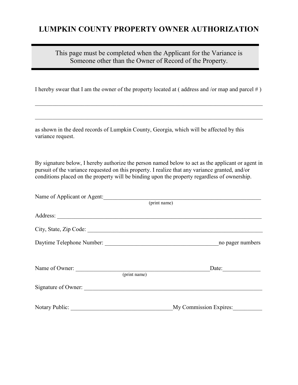### **LUMPKIN COUNTY PROPERTY OWNER AUTHORIZATION**

This page must be completed when the Applicant for the Variance is Someone other than the Owner of Record of the Property.

I hereby swear that I am the owner of the property located at  $($  address and /or map and parcel  $#$   $)$ 

 $\_$  , and the contribution of the contribution of  $\mathcal{L}_1$  , and  $\mathcal{L}_2$  , and  $\mathcal{L}_3$  , and  $\mathcal{L}_4$  , and  $\mathcal{L}_5$ 

 $\_$  , and the contribution of the contribution of  $\mathcal{L}_1$  , and  $\mathcal{L}_2$  , and  $\mathcal{L}_3$  , and  $\mathcal{L}_4$  , and  $\mathcal{L}_5$ 

as shown in the deed records of Lumpkin County, Georgia, which will be affected by this variance request.

By signature below, I hereby authorize the person named below to act as the applicant or agent in pursuit of the variance requested on this property. I realize that any variance granted, and/or conditions placed on the property will be binding upon the property regardless of ownership.

| Name of Applicant or Agent: |              |                        |
|-----------------------------|--------------|------------------------|
|                             | (print name) |                        |
|                             |              |                        |
| City, State, Zip Code:      |              |                        |
|                             |              | no pager numbers       |
| Name of Owner:              | (print name) | Date:                  |
| Signature of Owner:         |              |                        |
| Notary Public:              |              | My Commission Expires: |